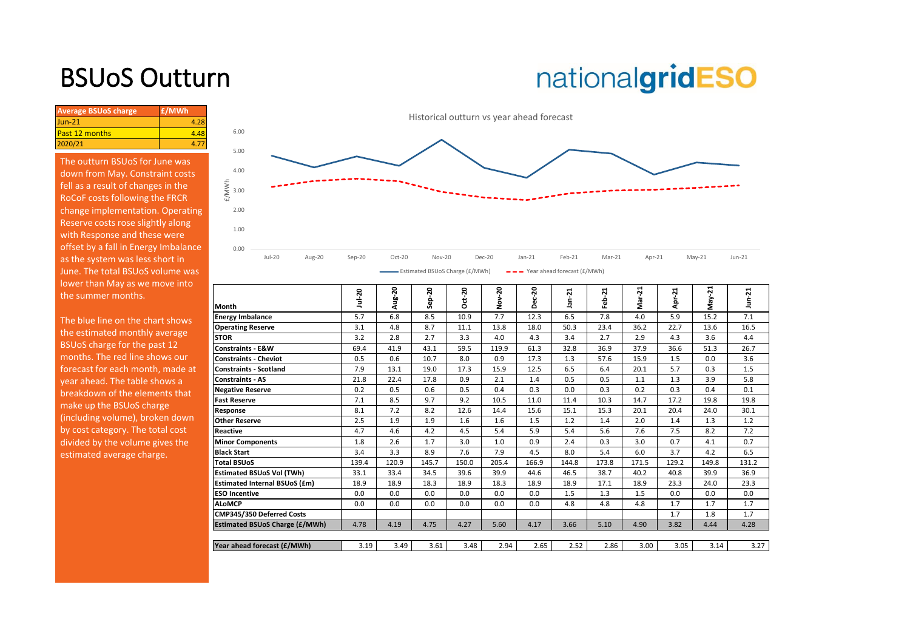## BSUoS Outturn

# nationalgridESO

| <b>Average BSUoS charge</b> | £/MWh |
|-----------------------------|-------|
| $Jun-21$                    | 4.28  |
| <b>Past 12 months</b>       | 4.48  |
| 2020/21                     |       |

The outturn BSUoS for June was down from May. Constraint costs fell as a result of changes in the RoCoF costs following the FRCR change implementation. Operating Reserve costs rose slightly along with Response and these were offset by a fall in Energy Imbalance as the system was less short in June. The total BSUoS volume was lower than May as we move into the summer months.



| the summer months.               | l Month                               | $u - 20$ | Aug-20 | 20<br>윤<br>Ğ. | ន<br>o | នុ<br>ş | Dec-20 | ដ<br>ja<br>Ta | $\overline{5}$<br>흢 | ឆ<br>$\sigma$<br>Σ | ដុ<br>늅<br>ਟ | ដ<br>γaν | n-21  |
|----------------------------------|---------------------------------------|----------|--------|---------------|--------|---------|--------|---------------|---------------------|--------------------|--------------|----------|-------|
| The blue line on the chart shows | <b>Energy Imbalance</b>               | 5.7      | 6.8    | 8.5           | 10.9   | 7.7     | 12.3   | 6.5           | 7.8                 | 4.0                | 5.9          | 15.2     | 7.1   |
| the estimated monthly average    | <b>Operating Reserve</b>              | 3.1      | 4.8    | 8.7           | 11.1   | 13.8    | 18.0   | 50.3          | 23.4                | 36.2               | 22.7         | 13.6     | 16.5  |
|                                  | <b>STOR</b>                           | 3.2      | 2.8    | 2.7           | 3.3    | 4.0     | 4.3    | 3.4           | 2.7                 | 2.9                | 4.3          | 3.6      | 4.4   |
| BSUoS charge for the past 12     | Constraints - E&W                     | 69.4     | 41.9   | 43.1          | 59.5   | 119.9   | 61.3   | 32.8          | 36.9                | 37.9               | 36.6         | 51.3     | 26.7  |
| months. The red line shows our   | <b>Constraints - Cheviot</b>          | 0.5      | 0.6    | 10.7          | 8.0    | 0.9     | 17.3   | 1.3           | 57.6                | 15.9               | 1.5          | 0.0      | 3.6   |
| forecast for each month, made at | <b>Constraints - Scotland</b>         | 7.9      | 13.1   | 19.0          | 17.3   | 15.9    | 12.5   | 6.5           | 6.4                 | 20.1               | 5.7          | 0.3      | 1.5   |
| year ahead. The table shows a    | <b>Constraints - AS</b>               | 21.8     | 22.4   | 17.8          | 0.9    | 2.1     | 1.4    | 0.5           | 0.5                 | 1.1                | 1.3          | 3.9      | 5.8   |
| breakdown of the elements that   | <b>Negative Reserve</b>               | 0.2      | 0.5    | 0.6           | 0.5    | 0.4     | 0.3    | 0.0           | 0.3                 | 0.2                | 0.3          | 0.4      | 0.1   |
| make up the BSUoS charge         | <b>Fast Reserve</b>                   | 7.1      | 8.5    | 9.7           | 9.2    | 10.5    | 11.0   | 11.4          | 10.3                | 14.7               | 17.2         | 19.8     | 19.8  |
|                                  | Response                              | 8.1      | 7.2    | 8.2           | 12.6   | 14.4    | 15.6   | 15.1          | 15.3                | 20.1               | 20.4         | 24.0     | 30.1  |
| (including volume), broken down  | <b>Other Reserve</b>                  | 2.5      | 1.9    | 1.9           | 1.6    | 1.6     | 1.5    | 1.2           | 1.4                 | 2.0                | 1.4          | 1.3      | 1.2   |
| by cost category. The total cost | <b>Reactive</b>                       | 4.7      | 4.6    | 4.2           | 4.5    | 5.4     | 5.9    | 5.4           | 5.6                 | 7.6                | 7.5          | 8.2      | 7.2   |
| divided by the volume gives the  | <b>Minor Components</b>               | 1.8      | 2.6    | 1.7           | 3.0    | 1.0     | 0.9    | 2.4           | 0.3                 | 3.0                | 0.7          | 4.1      | 0.7   |
| estimated average charge.        | <b>Black Start</b>                    | 3.4      | 3.3    | 8.9           | 7.6    | 7.9     | 4.5    | 8.0           | 5.4                 | 6.0                | 3.7          | 4.2      | 6.5   |
|                                  | <b>Total BSUoS</b>                    | 139.4    | 120.9  | 145.7         | 150.0  | 205.4   | 166.9  | 144.8         | 173.8               | 171.5              | 129.2        | 149.8    | 131.2 |
|                                  | <b>Estimated BSUoS Vol (TWh)</b>      | 33.1     | 33.4   | 34.5          | 39.6   | 39.9    | 44.6   | 46.5          | 38.7                | 40.2               | 40.8         | 39.9     | 36.9  |
|                                  | <b>Estimated Internal BSUoS (£m)</b>  | 18.9     | 18.9   | 18.3          | 18.9   | 18.3    | 18.9   | 18.9          | 17.1                | 18.9               | 23.3         | 24.0     | 23.3  |
|                                  | <b>ESO Incentive</b>                  | 0.0      | 0.0    | 0.0           | 0.0    | 0.0     | 0.0    | 1.5           | 1.3                 | 1.5                | 0.0          | 0.0      | 0.0   |
|                                  | <b>ALoMCP</b>                         | 0.0      | 0.0    | 0.0           | 0.0    | 0.0     | 0.0    | 4.8           | 4.8                 | 4.8                | 1.7          | 1.7      | 1.7   |
|                                  | CMP345/350 Deferred Costs             |          |        |               |        |         |        |               |                     |                    | 1.7          | 1.8      | 1.7   |
|                                  | <b>Estimated BSUoS Charge (£/MWh)</b> | 4.78     | 4.19   | 4.75          | 4.27   | 5.60    | 4.17   | 3.66          | 5.10                | 4.90               | 3.82         | 4.44     | 4.28  |
|                                  |                                       |          |        |               |        |         |        |               |                     |                    |              |          |       |
|                                  | Year ahead forecast (£/MWh)           | 3.19     | 3.49   | 3.61          | 3.48   | 2.94    | 2.65   | 2.52          | 2.86                | 3.00               | 3.05         | 3.14     | 3.27  |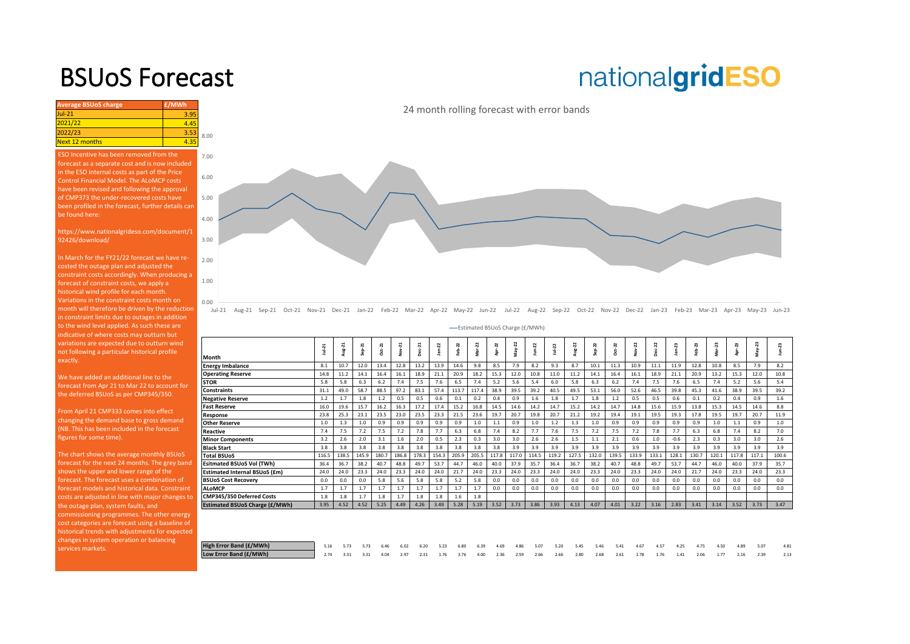### BSUoS Forecast

## nationalgridESO

**Average BSUoS charge £/MWh £/MWh** Jul-21 3.95 2021/22 4.45<br>2022/23 3.55 2022/23<br>Next 12 months 4.35 Next 12 months 8.00

ESO Incentive has been removed from the forecast as a separate cost and is now included in the ESO internal costs as part of the Price Control Financial Model. The ALoMCP costs have been revised and following the approval of CMP373 the under-recovered costs have [been profiled in the forecast, further details can](https://www.nationalgrideso.com/charging/balancing-services-use-system-bsuos-charges)  be found here:

https://www.nationalgrideso.com/document/1 92426/download/

In March for the FY21/22 forecast we have recosted the outage plan and adjusted the constraint costs accordingly. When producing a forecast of constraint costs, we apply a historical wind profile for each month. Variations in the constraint costs month on month will therefore be driven by the reduction in constraint limits due to outages in addition to the wind level applied. As such these are indicative of where costs may outturn but variations are expected due to outturn wind not following a particular historical profile exactly.

We have added an additional line to the forecast from Apr 21 to Mar 22 to account for the deferred BSUoS as per CMP345/350.

From April 21 CMP333 comes into effect changing the demand base to gross demand (NB. This has been included in the forecast figures for some time).

The chart shows the average monthly BSUoS forecast for the next 24 months. The grey band shows the upper and lower range of the forecast models and historical data. Constraint costs are adjusted in line with major changes to the outage plan, system faults, and commissioning programmes. The other energy cost categories are forecast using a baseline of historical trends with adjustments for expected changes in system operation or balancing services markets.

24 month rolling forecast with error bands



Jul-21 Aug-21 Sep-21 Oct-21 Nov-21 Dec-21 Jan-22 Feb-22 Mar-22 Apr-22 May-22 Jun-22 Jul-22 Aug-22 Sep-22 Oct-22 Nov-22 Dec-22 Jan-23 Feb-23 Mar-23 Apr-23 May-23 Jun-23

Estimated BSUoS Charge (£/MWh)

|                                       | $10 + 21$ | Aug-21 | $Sep-21$ | <b>Dct-21</b> | Nov-21 | Dec-21 | $jan-22$ | $eb-22$ | $Mar-22$ | 22    | May-22 | $J$ un- $22$ | $1u + 22$ | Aug-22 | ep-22 | $Oct-22$ | <b>Vov-22</b> | Dec-22 | $Jan-23$ | eb-23 | Mar-23 | 23    | May-23 | R,    |
|---------------------------------------|-----------|--------|----------|---------------|--------|--------|----------|---------|----------|-------|--------|--------------|-----------|--------|-------|----------|---------------|--------|----------|-------|--------|-------|--------|-------|
| Month                                 |           |        |          |               |        |        |          |         |          | ģ     |        |              |           |        |       |          |               |        |          |       |        | ğ     |        |       |
| <b>Energy Imbalance</b>               | 8.1       | 10.7   | 12.0     | 13.4          | 12.8   | 13.2   | 13.9     | 14.6    | 9.8      | 8.5   | 7.9    | 8.2          | 9.3       | 8.7    | 10.1  | 11.3     | 10.9          | 11.1   | 11.9     | 12.8  | 10.8   | 8.5   | 7.9    | 8.2   |
| <b>Operating Reserve</b>              | 14.8      | 11.2   | 14.1     | 16.4          | 16.1   | 18.9   | 21.1     | 20.9    | 18.2     | 15.3  | 12.0   | 10.8         | 11.0      | 11.2   | 14.1  | 16.4     | 16.1          | 18.9   | 21.1     | 20.9  | 13.2   | 15.3  | 12.0   | 10.8  |
| <b>STOR</b>                           | 5.8       | 5.8    | 6.3      | 6.2           | 7.4    | 7.5    | 7.6      | 6.5     | 7.4      | 5.2   | 5.6    | 5.4          | 6.0       | 5.8    | 6.3   | 6.2      | 7.4           | 7.5    | 7.6      | 6.5   | 7.4    | 5.2   | 5.6    | 5.4   |
| <b>Constraints</b>                    | 31.1      | 49.0   | 58.7     | 88.5          | 97.2   | 83.1   | 57.4     | 113.7   | 117.4    | 38.9  | 39.5   | 39.2         | 40.5      | 49.5   | 53.1  | 56.0     | 52.6          | 46.5   | 39.8     | 45.3  | 41.6   | 38.9  | 39.5   | 39.2  |
| <b>Negative Reserve</b>               | 1.2       | 1.7    | 1.8      | 1.2           | 0.5    | 0.5    | 0.6      | 0.1     | 0.2      | 0.4   | 0.9    | 1.6          | 1.8       | 1.7    | 1.8   | 1.2      | 0.5           | 0.5    | 0.6      | 0.1   | 0.2    | 0.4   | 0.9    | 1.6   |
| <b>Fast Reserve</b>                   | 16.0      | 19.6   | 15.7     | 16.2          | 16.3   | 17.2   | 17.4     | 15.2    | 16.8     | 14.5  | 14.6   | 14.2         | 14.7      | 15.2   | 14.2  | 14.7     | 14.8          | 15.6   | 15.9     | 13.8  | 15.3   | 14.5  | 14.6   | 8.8   |
| Response                              | 23.8      | 25.3   | 23.1     | 23.5          | 23.0   | 23.5   | 23.3     | 21.5    | 23.6     | 19.7  | 20.7   | 19.8         | 20.7      | 21.2   | 19.2  | 19.4     | 19.1          | 19.5   | 19.3     | 17.8  | 19.5   | 19.7  | 20.7   | 11.9  |
| <b>Other Reserve</b>                  | 1.0       | 1.3    | 1.0      | 0.9           | 0.9    | 0.9    | 0.9      | 0.9     | 1.0      | 1.1   | 0.9    | 1.0          | 1.2       | 1.3    | 1.0   | 0.9      | 0.9           | 0.9    | 0.9      | 0.9   | 1.0    | 1.1   | 0.9    | 1.0   |
| Reactive                              | 7.4       | 7.5    | 7.2      | 7.5           | 7.2    | 7.8    | 7.7      | 6.3     | 6.8      | 7.4   | 8.2    | 7.7          | 7.6       | 7.5    | 7.2   | 7.5      | 7.2           | 7.8    | 7.7      | 6.3   | 6.8    | 7.4   | 8.2    | 7.0   |
| <b>Minor Components</b>               | 3.2       | 2.6    | 2.0      | 3.1           | 1.6    | 2.0    | 0.5      | 2.3     | 0.3      | 3.0   | 3.0    | 2.6          | 2.6       | 1.5    | 1.1   | 2.1      | 0.6           | 1.0    | $-0.6$   | 2.3   | 0.3    | 3.0   | 3.0    | 2.6   |
| <b>Black Start</b>                    | 3.8       | 3.8    | 3.8      | 3.8           | 3.8    | 3.8    | 3.8      | 3.8     | 3.8      | 3.8   | 3.9    | 3.9          | 3.9       | 3.9    | 3.9   | 3.9      | 3.9           | 3.9    | 3.9      | 3.9   | 3.9    | 3.9   | 3.9    | 3.9   |
| <b>Total BSUoS</b>                    | 116.5     | 138.5  | 145.9    | 180.7         | 186.8  | 178.3  | 154.3    | 205.9   | 205.5    | 117.8 | 117.0  | 114.5        | 119.2     | 127.5  | 132.0 | 139.5    | 133.9         | 133.1  | 128.1    | 130.7 | 120.1  | 117.8 | 117.1  | 100.6 |
| <b>Esitmated BSUoS Vol (TWh)</b>      | 36.4      | 36.7   | 38.2     | 40.7          | 48.8   | 49.7   | 53.7     | 44.7    | 46.0     | 40.0  | 37.9   | 35.7         | 36.4      | 36.7   | 38.2  | 40.7     | 48.8          | 49.7   | 53.7     | 44.7  | 46.0   | 40.0  | 37.9   | 35.7  |
| <b>Estimated Internal BSUoS (£m)</b>  | 24.0      | 24.0   | 23.3     | 24.0          | 23.3   | 24.0   | 24.0     | 21.7    | 24.0     | 23.3  | 24.0   | 23.3         | 24.0      | 24.0   | 23.3  | 24.0     | 23.3          | 24.0   | 24.0     | 21.7  | 24.0   | 23.3  | 24.0   | 23.3  |
| <b>BSUoS Cost Recovery</b>            | 0.0       | 0.0    | 0.0      | 5.8           | 5.6    | 5.8    | 5.8      | 5.2     | 5.8      | 0.0   | 0.0    | 0.0          | 0.0       | 0.0    | 0.0   | 0.0      | 0.0           | 0.0    | 0.0      | 0.0   | 0.0    | 0.0   | 0.0    | 0.0   |
| <b>ALoMCP</b>                         | 1.7       | 1.7    | 1.7      | 1.7           | 1.7    | 1.7    | 1.7      | 1.7     | 1.7      | 0.0   | 0.0    | 0.0          | 0.0       | 0.0    | 0.0   | 0.0      | 0.0           | 0.0    | 0.0      | 0.0   | 0.0    | 0.0   | 0.0    | 0.0   |
| CMP345/350 Deferred Costs             | 1.8       | 1.8    | 1.7      | 1.8           | 1.7    | 1.8    | 1.8      | 1.6     | 1.8      |       |        |              |           |        |       |          |               |        |          |       |        |       |        |       |
| <b>Estimated BSUoS Charge (£/MWh)</b> | 3.95      | 4.52   | 4.52     | 5.25          | 4.49   | 4.26   | 3.49     | 5.28    | 5.19     | 3.52  | 3.73   | 3.86         | 3.93      | 4.13   | 4.07  | 4.01     | 3.22          | 3.16   | 2.83     | 3.41  | 3.14   | 3.52  | 3.73   | 3.47  |
|                                       |           |        |          |               |        |        |          |         |          |       |        |              |           |        |       |          |               |        |          |       |        |       |        |       |
|                                       |           |        |          |               |        |        |          |         |          |       |        |              |           |        |       |          |               |        |          |       |        |       |        |       |
|                                       |           |        |          |               |        |        |          |         |          |       |        |              |           |        |       |          |               |        |          |       |        |       |        |       |

| High Error Band (£/MWh) |                                                                                                                    |  |  |  |  |  | 5.16 5.73 5.73 6.46 6.02 6.20 5.23 6.80 6.39 4.69 4.86 5.07 5.20 5.45 5.46 5.41 4.67 4.57 4.25 4.75 4.50 4.89 5.07 |  |  |  |  |  | 4.81 |
|-------------------------|--------------------------------------------------------------------------------------------------------------------|--|--|--|--|--|--------------------------------------------------------------------------------------------------------------------|--|--|--|--|--|------|
| Low Error Band (£/MWh)  | 2.74 3.31 3.31 4.04 2.97 2.31 1.76 3.76 4.00 2.36 2.59 2.66 2.66 2.80 2.68 2.61 1.78 1.76 1.41 2.06 1.77 2.16 2.39 |  |  |  |  |  |                                                                                                                    |  |  |  |  |  | 2.13 |